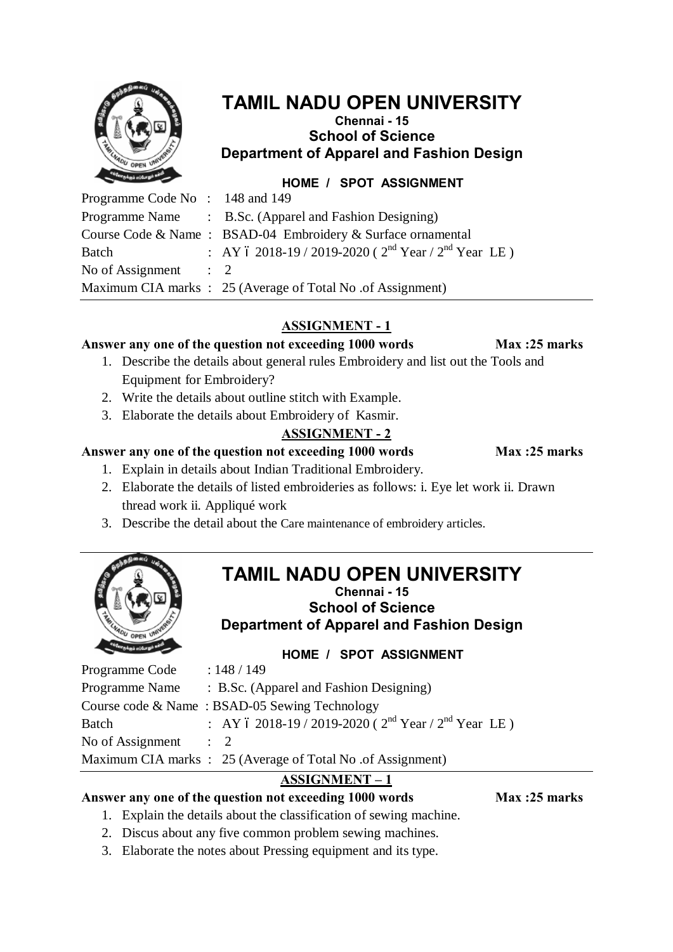| чń                    |
|-----------------------|
| Urban                 |
|                       |
| c<br>۹                |
|                       |
|                       |
| ŗ,                    |
|                       |
|                       |
| <b>TEM LNADU OPEN</b> |
| <b>UNIVERS</b>        |
|                       |
|                       |
|                       |
|                       |
|                       |

# **TAMIL NADU OPEN UNIVERSITY**

# **Chennai - 15 School of Science Department of Apparel and Fashion Design**

**HOME / SPOT ASSIGNMENT**

| Programme Code No: 148 and 149  |                                                             |
|---------------------------------|-------------------------------------------------------------|
|                                 | Programme Name : B.Sc. (Apparel and Fashion Designing)      |
|                                 | Course Code & Name: BSAD-04 Embroidery & Surface ornamental |
| Batch                           | : AY 6 2018-19 / 2019-2020 ( $2nd$ Year / $2nd$ Year LE)    |
| No of Assignment $\therefore$ 2 |                                                             |
|                                 | Maximum CIA marks : 25 (Average of Total No. of Assignment) |

# **ASSIGNMENT - 1**

#### **Answer any one of the question not exceeding 1000 words Max :25 marks**

- 1. Describe the details about general rules Embroidery and list out the Tools and Equipment for Embroidery?
- 2. Write the details about outline stitch with Example.
- 3. Elaborate the details about Embroidery of Kasmir.

# **ASSIGNMENT - 2**

Answer any one of the question not exceeding 1000 words Max :25 marks

- 1. Explain in details about Indian Traditional Embroidery.
- 2. Elaborate the details of listed embroideries as follows: i. Eye let work ii. Drawn thread work ii. Appliqué work
- 3. Describe the detail about the Care maintenance of embroidery articles.



# **TAMIL NADU OPEN UNIVERSITY**

**Chennai - 15 School of Science Department of Apparel and Fashion Design**

**HOME / SPOT ASSIGNMENT**

| Programme Code   | : 148 / 149                                                    |
|------------------|----------------------------------------------------------------|
| Programme Name   | : B.Sc. (Apparel and Fashion Designing)                        |
|                  | Course code $\&$ Name: BSAD-05 Sewing Technology               |
| Batch            | : AY 6 2018-19 / 2019-2020 ( $2^{nd}$ Year / $2^{nd}$ Year LE) |
| No of Assignment | $\therefore$ 2                                                 |
|                  | Maximum CIA marks : 25 (Average of Total No. of Assignment)    |

# **ASSIGNMENT – 1**

# Answer any one of the question not exceeding 1000 words Max :25 marks

- 1. Explain the details about the classification of sewing machine.
- 2. Discus about any five common problem sewing machines.
- 3. Elaborate the notes about Pressing equipment and its type.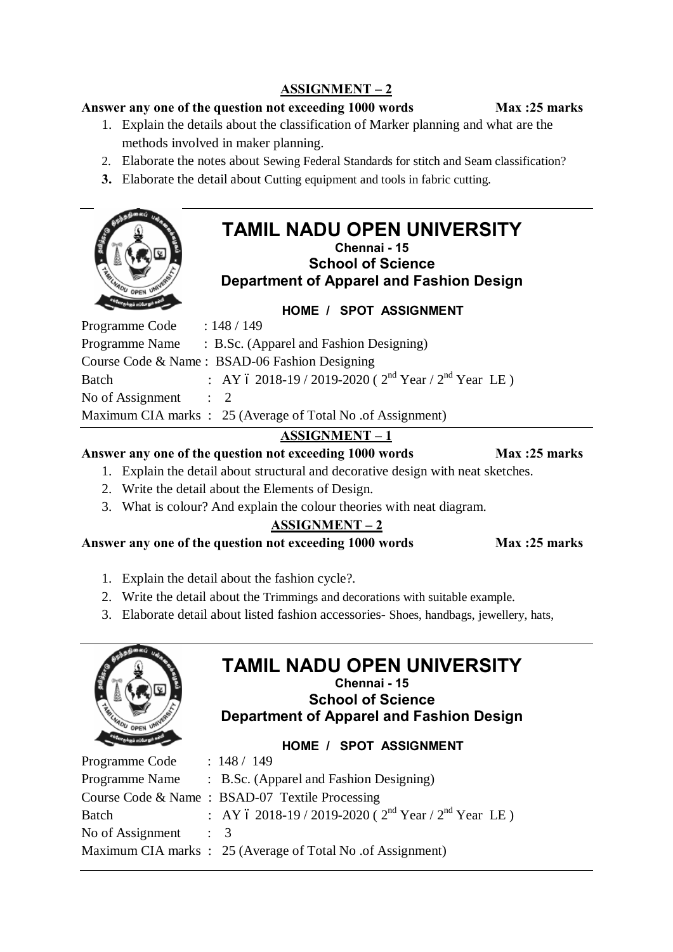# **ASSIGNMENT – 2**

#### **Answer any one of the question not exceeding 1000 words Max :25 marks**

- 1. Explain the details about the classification of Marker planning and what are the methods involved in maker planning.
- 2. Elaborate the notes about Sewing Federal Standards for stitch and Seam classification?
- **3.** Elaborate the detail about Cutting equipment and tools in fabric cutting.

### **TAMIL NADU OPEN UNIVERSITY Chennai - 15 School of Science**

**Department of Apparel and Fashion Design**



| Programme Name<br>: B.Sc. (Apparel and Fashion Designing)               |  |
|-------------------------------------------------------------------------|--|
| Course Code & Name: BSAD-06 Fashion Designing                           |  |
| : AY 6 2018-19 / 2019-2020 ( $2^{nd}$ Year / $2^{nd}$ Year LE)<br>Batch |  |
| No of Assignment<br>$\therefore$ 2                                      |  |
| Maximum CIA marks : 25 (Average of Total No. of Assignment)             |  |

# **ASSIGNMENT – 1**

#### Answer any one of the question not exceeding 1000 words Max :25 marks

1. Explain the detail about structural and decorative design with neat sketches.

- 2. Write the detail about the Elements of Design.
- 3. What is colour? And explain the colour theories with neat diagram.

# **ASSIGNMENT – 2**

**Answer any one of the question not exceeding 1000 words Max :25 marks**

1. Explain the detail about the fashion cycle?.

- 2. Write the detail about the Trimmings and decorations with suitable example.
- 3. Elaborate detail about listed fashion accessories- Shoes, handbags, jewellery, hats,